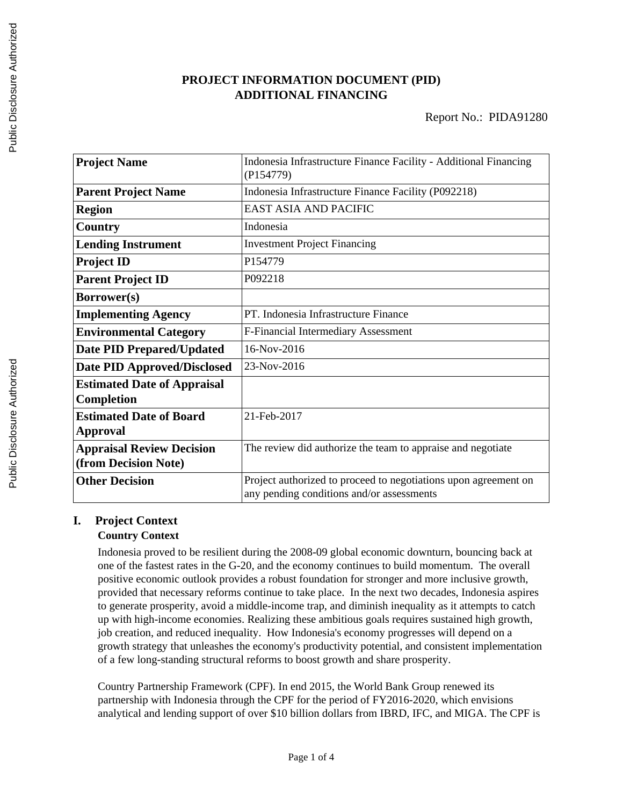## **PROJECT INFORMATION DOCUMENT (PID) ADDITIONAL FINANCING**

| <b>Project Name</b>                                     | Indonesia Infrastructure Finance Facility - Additional Financing<br>(P154779)                                |  |
|---------------------------------------------------------|--------------------------------------------------------------------------------------------------------------|--|
| <b>Parent Project Name</b>                              | Indonesia Infrastructure Finance Facility (P092218)                                                          |  |
| <b>Region</b>                                           | <b>EAST ASIA AND PACIFIC</b>                                                                                 |  |
| Country                                                 | Indonesia                                                                                                    |  |
| <b>Lending Instrument</b>                               | <b>Investment Project Financing</b>                                                                          |  |
| <b>Project ID</b>                                       | P154779                                                                                                      |  |
| <b>Parent Project ID</b>                                | P092218                                                                                                      |  |
| <b>Borrower(s)</b>                                      |                                                                                                              |  |
| <b>Implementing Agency</b>                              | PT. Indonesia Infrastructure Finance                                                                         |  |
| <b>Environmental Category</b>                           | F-Financial Intermediary Assessment                                                                          |  |
| <b>Date PID Prepared/Updated</b>                        | 16-Nov-2016                                                                                                  |  |
| <b>Date PID Approved/Disclosed</b>                      | 23-Nov-2016                                                                                                  |  |
| <b>Estimated Date of Appraisal</b><br><b>Completion</b> |                                                                                                              |  |
| <b>Estimated Date of Board</b>                          | 21-Feb-2017                                                                                                  |  |
| Approval                                                |                                                                                                              |  |
| <b>Appraisal Review Decision</b>                        | The review did authorize the team to appraise and negotiate                                                  |  |
| (from Decision Note)                                    |                                                                                                              |  |
| <b>Other Decision</b>                                   | Project authorized to proceed to negotiations upon agreement on<br>any pending conditions and/or assessments |  |

# **I. Project Context**

## **Country Context**

Indonesia proved to be resilient during the 2008-09 global economic downturn, bouncing back at one of the fastest rates in the G-20, and the economy continues to build momentum. The overall positive economic outlook provides a robust foundation for stronger and more inclusive growth, provided that necessary reforms continue to take place. In the next two decades, Indonesia aspires to generate prosperity, avoid a middle-income trap, and diminish inequality as it attempts to catch up with high-income economies. Realizing these ambitious goals requires sustained high growth, job creation, and reduced inequality. How Indonesia's economy progresses will depend on a growth strategy that unleashes the economy's productivity potential, and consistent implementation of a few long-standing structural reforms to boost growth and share prosperity.

Country Partnership Framework (CPF). In end 2015, the World Bank Group renewed its partnership with Indonesia through the CPF for the period of FY2016-2020, which envisions analytical and lending support of over \$10 billion dollars from IBRD, IFC, and MIGA. The CPF is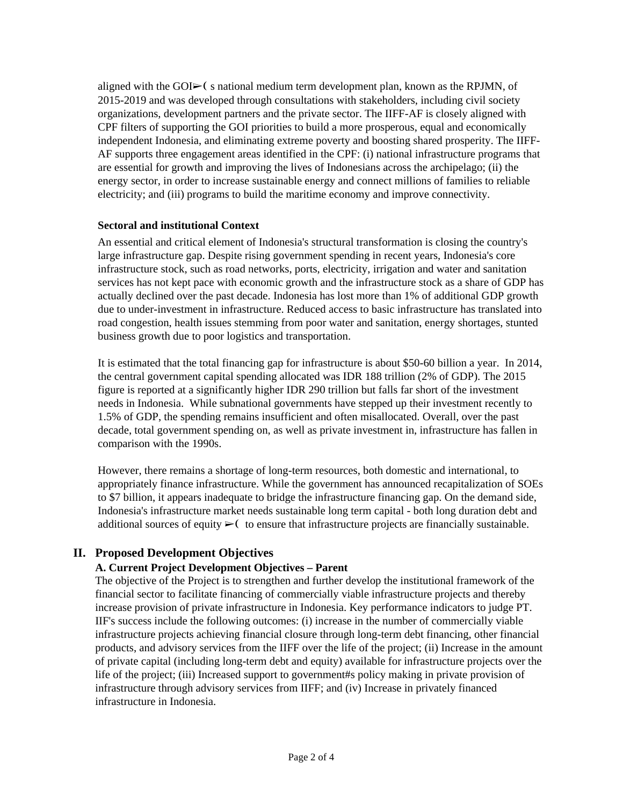aligned with the GOI $\blacktriangleright$  (s national medium term development plan, known as the RPJMN, of 2015-2019 and was developed through consultations with stakeholders, including civil society organizations, development partners and the private sector. The IIFF-AF is closely aligned with CPF filters of supporting the GOI priorities to build a more prosperous, equal and economically independent Indonesia, and eliminating extreme poverty and boosting shared prosperity. The IIFF-AF supports three engagement areas identified in the CPF: (i) national infrastructure programs that are essential for growth and improving the lives of Indonesians across the archipelago; (ii) the energy sector, in order to increase sustainable energy and connect millions of families to reliable electricity; and (iii) programs to build the maritime economy and improve connectivity.

#### **Sectoral and institutional Context**

An essential and critical element of Indonesia's structural transformation is closing the country's large infrastructure gap. Despite rising government spending in recent years, Indonesia's core infrastructure stock, such as road networks, ports, electricity, irrigation and water and sanitation services has not kept pace with economic growth and the infrastructure stock as a share of GDP has actually declined over the past decade. Indonesia has lost more than 1% of additional GDP growth due to under-investment in infrastructure. Reduced access to basic infrastructure has translated into road congestion, health issues stemming from poor water and sanitation, energy shortages, stunted business growth due to poor logistics and transportation.

It is estimated that the total financing gap for infrastructure is about \$50-60 billion a year. In 2014, the central government capital spending allocated was IDR 188 trillion (2% of GDP). The 2015 figure is reported at a significantly higher IDR 290 trillion but falls far short of the investment needs in Indonesia. While subnational governments have stepped up their investment recently to 1.5% of GDP, the spending remains insufficient and often misallocated. Overall, over the past decade, total government spending on, as well as private investment in, infrastructure has fallen in comparison with the 1990s.

However, there remains a shortage of long-term resources, both domestic and international, to appropriately finance infrastructure. While the government has announced recapitalization of SOEs to \$7 billion, it appears inadequate to bridge the infrastructure financing gap. On the demand side, Indonesia's infrastructure market needs sustainable long term capital - both long duration debt and additional sources of equity  $\geq$  (to ensure that infrastructure projects are financially sustainable.

# **II. Proposed Development Objectives**

## **A. Current Project Development Objectives – Parent**

The objective of the Project is to strengthen and further develop the institutional framework of the financial sector to facilitate financing of commercially viable infrastructure projects and thereby increase provision of private infrastructure in Indonesia. Key performance indicators to judge PT. IIF's success include the following outcomes: (i) increase in the number of commercially viable infrastructure projects achieving financial closure through long-term debt financing, other financial products, and advisory services from the IIFF over the life of the project; (ii) Increase in the amount of private capital (including long-term debt and equity) available for infrastructure projects over the life of the project; (iii) Increased support to government#s policy making in private provision of infrastructure through advisory services from IIFF; and (iv) Increase in privately financed infrastructure in Indonesia.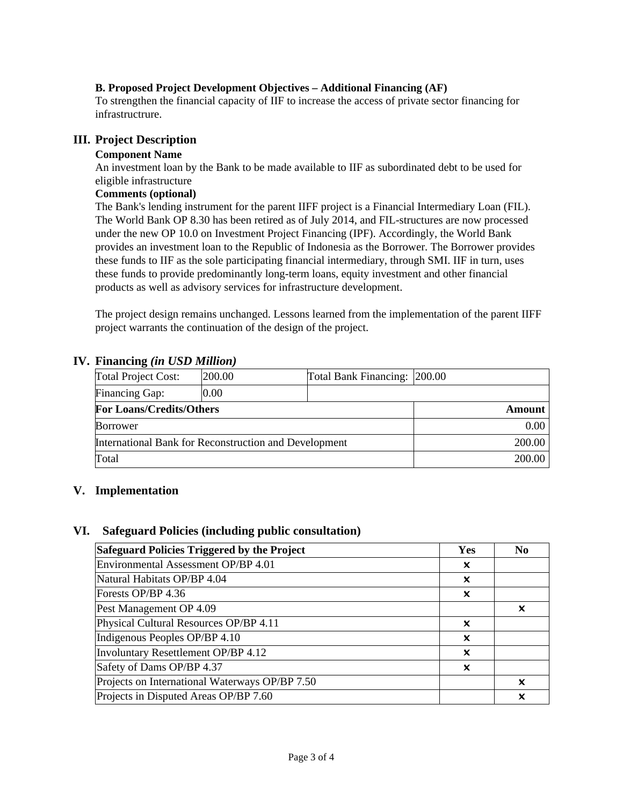### **B. Proposed Project Development Objectives – Additional Financing (AF)**

To strengthen the financial capacity of IIF to increase the access of private sector financing for infrastructrure.

### **III. Project Description**

### **Component Name**

An investment loan by the Bank to be made available to IIF as subordinated debt to be used for eligible infrastructure

### **Comments (optional)**

The Bank's lending instrument for the parent IIFF project is a Financial Intermediary Loan (FIL). The World Bank OP 8.30 has been retired as of July 2014, and FIL-structures are now processed under the new OP 10.0 on Investment Project Financing (IPF). Accordingly, the World Bank provides an investment loan to the Republic of Indonesia as the Borrower. The Borrower provides these funds to IIF as the sole participating financial intermediary, through SMI. IIF in turn, uses these funds to provide predominantly long-term loans, equity investment and other financial products as well as advisory services for infrastructure development.

The project design remains unchanged. Lessons learned from the implementation of the parent IIFF project warrants the continuation of the design of the project.

### **IV. Financing** *(in USD Million)*

| <b>Total Project Cost:</b>                            | 200.00 | Total Bank Financing: 200.00 |      |
|-------------------------------------------------------|--------|------------------------------|------|
| Financing Gap:                                        | 0.00   |                              |      |
| <b>For Loans/Credits/Others</b>                       |        | Amount                       |      |
| Borrower                                              |        |                              | 0.00 |
| International Bank for Reconstruction and Development |        | 200.00                       |      |
| Total                                                 |        | 200.00                       |      |

## **V. Implementation**

### **VI. Safeguard Policies (including public consultation)**

| Safeguard Policies Triggered by the Project    | Yes | N <sub>0</sub> |
|------------------------------------------------|-----|----------------|
| Environmental Assessment OP/BP 4.01            | x   |                |
| Natural Habitats OP/BP 4.04                    | x   |                |
| Forests OP/BP 4.36                             | X   |                |
| Pest Management OP 4.09                        |     | x              |
| Physical Cultural Resources OP/BP 4.11         | X   |                |
| Indigenous Peoples OP/BP 4.10                  | X   |                |
| Involuntary Resettlement OP/BP 4.12            | X   |                |
| Safety of Dams OP/BP 4.37                      | X   |                |
| Projects on International Waterways OP/BP 7.50 |     | X              |
| Projects in Disputed Areas OP/BP 7.60          |     | x              |